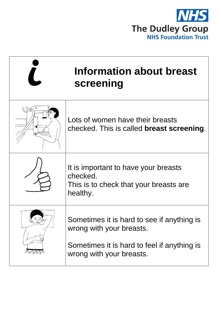

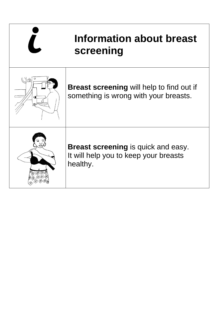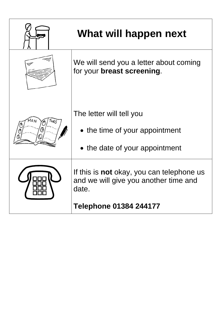

## **What will happen next**

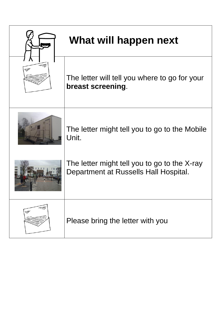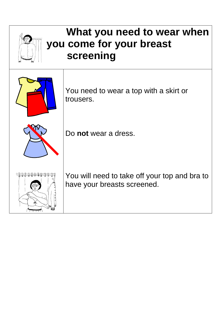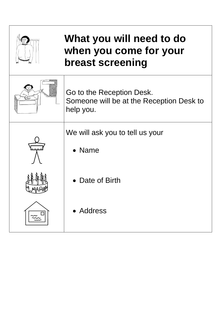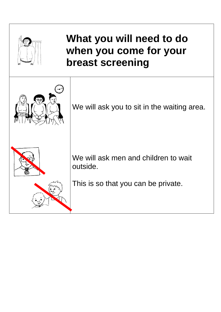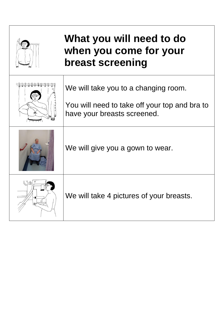| What you will need to do<br>when you come for your<br>breast screening                                               |
|----------------------------------------------------------------------------------------------------------------------|
| We will take you to a changing room.<br>You will need to take off your top and bra to<br>have your breasts screened. |
| We will give you a gown to wear.                                                                                     |
| We will take 4 pictures of your breasts.                                                                             |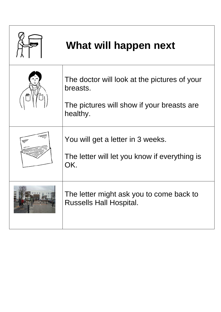| What will happen next                                                                                              |
|--------------------------------------------------------------------------------------------------------------------|
| The doctor will look at the pictures of your<br>breasts.<br>The pictures will show if your breasts are<br>healthy. |
| You will get a letter in 3 weeks.<br>The letter will let you know if everything is<br>OK.                          |
| The letter might ask you to come back to<br><b>Russells Hall Hospital.</b>                                         |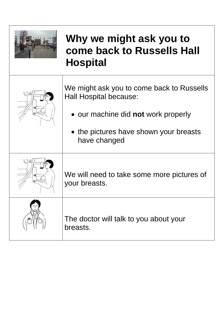

## **Why we might ask you to come back to Russells Hall Hospital**

| Ual | We might ask you to come back to Russells<br><b>Hall Hospital because:</b> |
|-----|----------------------------------------------------------------------------|
|     | • our machine did not work properly                                        |
|     | • the pictures have shown your breasts<br>have changed                     |
| トリル | We will need to take some more pictures of<br>your breasts.                |
|     | The doctor will talk to you about your<br>breasts.                         |